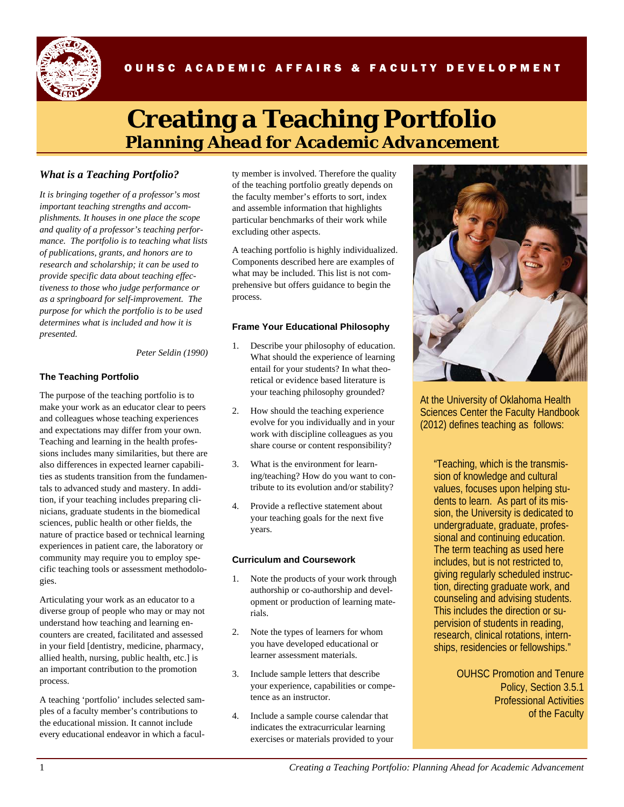

# OUHSC ACADEMIC AFFAIRS & FACULTY DEVELOPMENT

# **Creating a Teaching Portfolio**  *Planning Ahead for Academic Advancement*

# *What is a Teaching Portfolio?*

*It is bringing together of a professor's most important teaching strengths and accomplishments. It houses in one place the scope and quality of a professor's teaching performance. The portfolio is to teaching what lists of publications, grants, and honors are to research and scholarship; it can be used to provide specific data about teaching effectiveness to those who judge performance or as a springboard for self-improvement. The purpose for which the portfolio is to be used determines what is included and how it is presented.* 

#### *Peter Seldin (1990)*

#### **The Teaching Portfolio**

The purpose of the teaching portfolio is to make your work as an educator clear to peers and colleagues whose teaching experiences and expectations may differ from your own. Teaching and learning in the health professions includes many similarities, but there are also differences in expected learner capabilities as students transition from the fundamentals to advanced study and mastery. In addition, if your teaching includes preparing clinicians, graduate students in the biomedical sciences, public health or other fields, the nature of practice based or technical learning experiences in patient care, the laboratory or community may require you to employ specific teaching tools or assessment methodologies.

Articulating your work as an educator to a diverse group of people who may or may not understand how teaching and learning encounters are created, facilitated and assessed in your field [dentistry, medicine, pharmacy, allied health, nursing, public health, etc.] is an important contribution to the promotion process.

A teaching 'portfolio' includes selected samples of a faculty member's contributions to the educational mission. It cannot include every educational endeavor in which a faculty member is involved. Therefore the quality of the teaching portfolio greatly depends on the faculty member's efforts to sort, index and assemble information that highlights particular benchmarks of their work while excluding other aspects.

A teaching portfolio is highly individualized. Components described here are examples of what may be included. This list is not comprehensive but offers guidance to begin the process.

#### **Frame Your Educational Philosophy**

- 1. Describe your philosophy of education. What should the experience of learning entail for your students? In what theoretical or evidence based literature is your teaching philosophy grounded?
- 2. How should the teaching experience evolve for you individually and in your work with discipline colleagues as you share course or content responsibility?
- 3. What is the environment for learning/teaching? How do you want to contribute to its evolution and/or stability?
- Provide a reflective statement about your teaching goals for the next five years.

## **Curriculum and Coursework**

- Note the products of your work through authorship or co-authorship and development or production of learning materials.
- 2. Note the types of learners for whom you have developed educational or learner assessment materials.
- 3. Include sample letters that describe your experience, capabilities or competence as an instructor.
- 4. Include a sample course calendar that indicates the extracurricular learning exercises or materials provided to your



At the University of Oklahoma Health Sciences Center the Faculty Handbook (2012) defines teaching as follows:

 "Teaching, which is the transmission of knowledge and cultural values, focuses upon helping students to learn. As part of its mission, the University is dedicated to undergraduate, graduate, professional and continuing education. The term teaching as used here includes, but is not restricted to, giving regularly scheduled instruction, directing graduate work, and counseling and advising students. This includes the direction or supervision of students in reading, research, clinical rotations, internships, residencies or fellowships."

> OUHSC Promotion and Tenure Policy, Section 3.5.1 Professional Activities of the Faculty